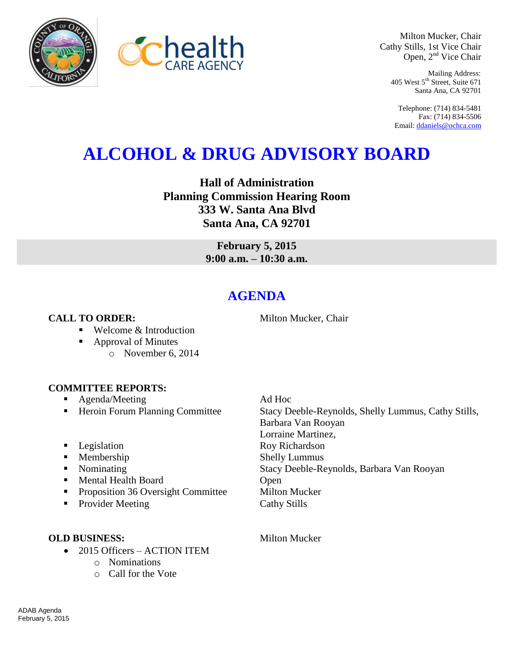



Milton Mucker, Chair Cathy Stills, 1st Vice Chair Open, 2<sup>nd</sup> Vice Chair

> Mailing Address: 405 West 5<sup>th</sup> Street, Suite 671 Santa Ana, CA 92701

Telephone: (714) 834-5481 Fax: (714) 834-5506 Email[: ddaniels@ochca.com](mailto:ddaniels@ochca.com)

# **ALCOHOL & DRUG ADVISORY BOARD**

**Hall of Administration Planning Commission Hearing Room 333 W. Santa Ana Blvd Santa Ana, CA 92701**

> **February 5, 2015 9:00 a.m. – 10:30 a.m.**

# **AGENDA**

## **CALL TO ORDER:** Milton Mucker, Chair

- Welcome & Introduction
- Approval of Minutes
	- o November 6, 2014

#### **COMMITTEE REPORTS:**

- Agenda/Meeting Ad Hoc
- 
- 
- 
- 
- $\blacksquare$  Mental Health Board
- **Proposition 36 Oversight Committee Milton Mucker**
- Provider Meeting Cathy Stills

### **OLD BUSINESS:** Milton Mucker

- 2015 Officers ACTION ITEM
	- o Nominations
	- o Call for the Vote

■ Heroin Forum Planning Committee Stacy Deeble-Reynolds, Shelly Lummus, Cathy Stills, Barbara Van Rooyan Lorraine Martinez, **Example 3** Legislation **Roy Richardson Membership Shelly Lummus** Nominating Stacy Deeble-Reynolds, Barbara Van Rooyan